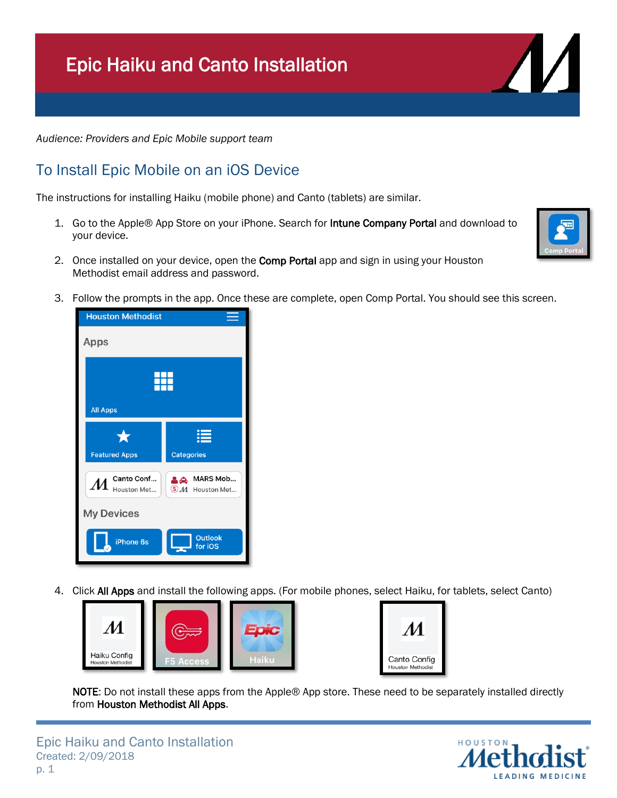## Epic Haiku and Canto Installation

*Audience: Providers and Epic Mobile support team*

## To Install Epic Mobile on an iOS Device

The instructions for installing Haiku (mobile phone) and Canto (tablets) are similar.

- 1. Go to the Apple® App Store on your iPhone. Search for **Intune Company Portal** and download to your device.
- 2. Once installed on your device, open the Comp Portal app and sign in using your Houston Methodist email address and password.
- 3. Follow the prompts in the app. Once these are complete, open Comp Portal. You should see this screen.



4. Click All Apps and install the following apps. (For mobile phones, select Haiku, for tablets, select Canto)





NOTE: Do not install these apps from the Apple® App store. These need to be separately installed directly from Houston Methodist All Apps.





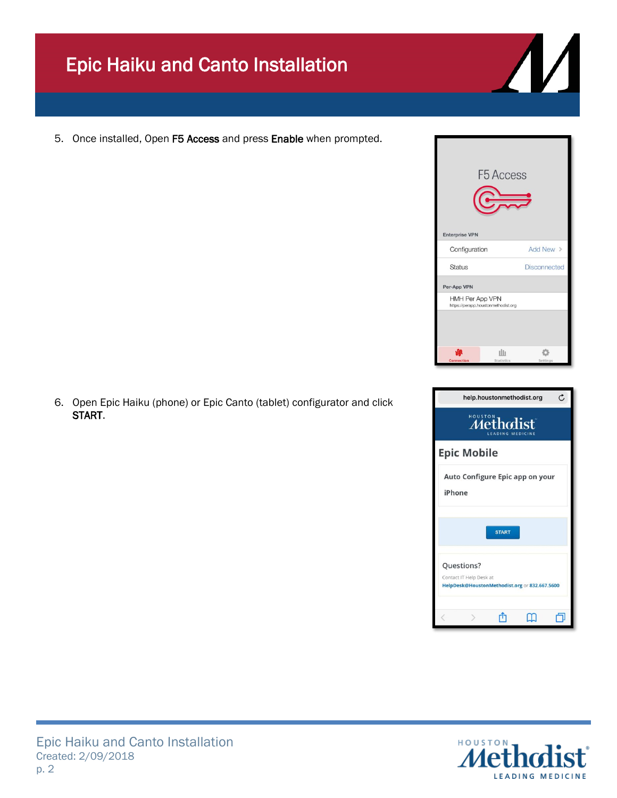## Epic Haiku and Canto Installation

5. Once installed, Open F5 Access and press Enable when prompted.

6. Open Epic Haiku (phone) or Epic Canto (tablet) configurator and click START.



START

HelpDesk@HoustonMethodist.org or 832.667.5600

पौ

 $\Box$ 

 $\mathbf{m}$ 

Questions? Contact IT Help Desk at

 $\rightarrow$ 

F5 Access